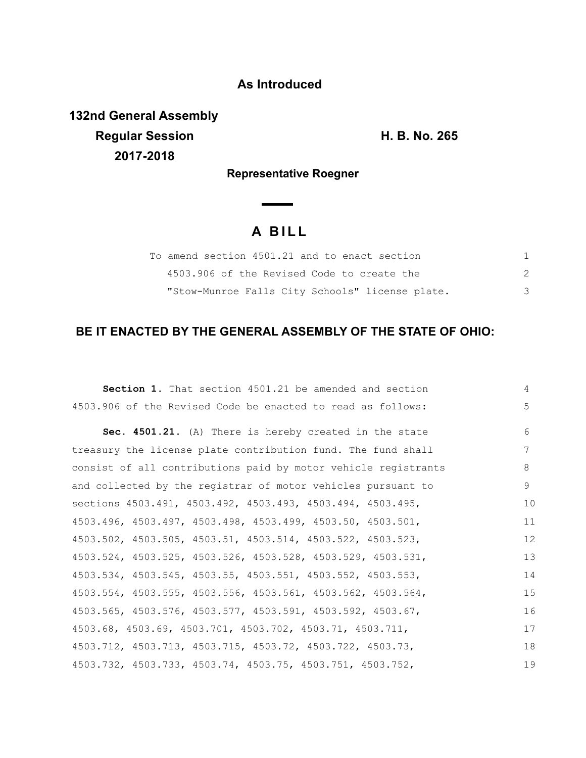### **As Introduced**

**132nd General Assembly Regular Session H. B. No. 265 2017-2018**

**Representative Roegner**

 $\overline{\phantom{a}}$ 

# **A B I L L**

| To amend section 4501.21 and to enact section   |  |
|-------------------------------------------------|--|
| 4503.906 of the Revised Code to create the      |  |
| "Stow-Munroe Falls City Schools" license plate. |  |

## **BE IT ENACTED BY THE GENERAL ASSEMBLY OF THE STATE OF OHIO:**

| <b>Section 1.</b> That section 4501.21 be amended and section  | 4           |
|----------------------------------------------------------------|-------------|
| 4503.906 of the Revised Code be enacted to read as follows:    | $5^{\circ}$ |
| Sec. 4501.21. (A) There is hereby created in the state         | 6           |
| treasury the license plate contribution fund. The fund shall   | 7           |
| consist of all contributions paid by motor vehicle registrants | 8           |
| and collected by the registrar of motor vehicles pursuant to   | 9           |
| sections 4503.491, 4503.492, 4503.493, 4503.494, 4503.495,     | 10          |
| 4503.496, 4503.497, 4503.498, 4503.499, 4503.50, 4503.501,     | 11          |
| 4503.502, 4503.505, 4503.51, 4503.514, 4503.522, 4503.523,     | 12          |
| 4503.524, 4503.525, 4503.526, 4503.528, 4503.529, 4503.531,    | 13          |
| 4503.534, 4503.545, 4503.55, 4503.551, 4503.552, 4503.553,     | 14          |
| 4503.554, 4503.555, 4503.556, 4503.561, 4503.562, 4503.564,    | 15          |
| 4503.565, 4503.576, 4503.577, 4503.591, 4503.592, 4503.67,     | 16          |
| 4503.68, 4503.69, 4503.701, 4503.702, 4503.71, 4503.711,       | 17          |
| 4503.712, 4503.713, 4503.715, 4503.72, 4503.722, 4503.73,      | 18          |
| 4503.732, 4503.733, 4503.74, 4503.75, 4503.751, 4503.752,      | 19          |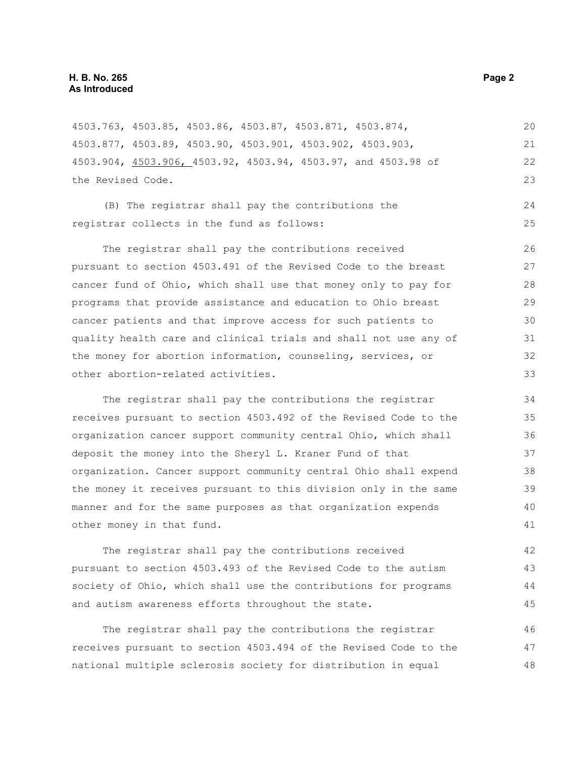| 4503.763, 4503.85, 4503.86, 4503.87, 4503.871, 4503.874,         | 20 |
|------------------------------------------------------------------|----|
| 4503.877, 4503.89, 4503.90, 4503.901, 4503.902, 4503.903,        | 21 |
| 4503.904, 4503.906, 4503.92, 4503.94, 4503.97, and 4503.98 of    | 22 |
| the Revised Code.                                                |    |
| (B) The registrar shall pay the contributions the                | 24 |
| registrar collects in the fund as follows:                       | 25 |
|                                                                  |    |
| The registrar shall pay the contributions received               | 26 |
| pursuant to section 4503.491 of the Revised Code to the breast   | 27 |
| cancer fund of Ohio, which shall use that money only to pay for  | 28 |
| programs that provide assistance and education to Ohio breast    | 29 |
| cancer patients and that improve access for such patients to     | 30 |
| quality health care and clinical trials and shall not use any of | 31 |
| the money for abortion information, counseling, services, or     | 32 |
| other abortion-related activities.                               | 33 |
| The registrar shall pay the contributions the registrar          | 34 |
| receives pursuant to section 4503.492 of the Revised Code to the | 35 |
| organization cancer support community central Ohio, which shall  | 36 |
| deposit the money into the Sheryl L. Kraner Fund of that         | 37 |
| organization. Cancer support community central Ohio shall expend | 38 |
| the money it receives pursuant to this division only in the same | 39 |
| manner and for the same purposes as that organization expends    | 40 |
| other money in that fund.                                        | 41 |
| The registrar shall pay the contributions received               | 42 |
| pursuant to section 4503.493 of the Revised Code to the autism   | 43 |
| society of Ohio, which shall use the contributions for programs  | 44 |
| and autism awareness efforts throughout the state.               | 45 |
|                                                                  |    |

The registrar shall pay the contributions the registrar receives pursuant to section 4503.494 of the Revised Code to the national multiple sclerosis society for distribution in equal 46 47 48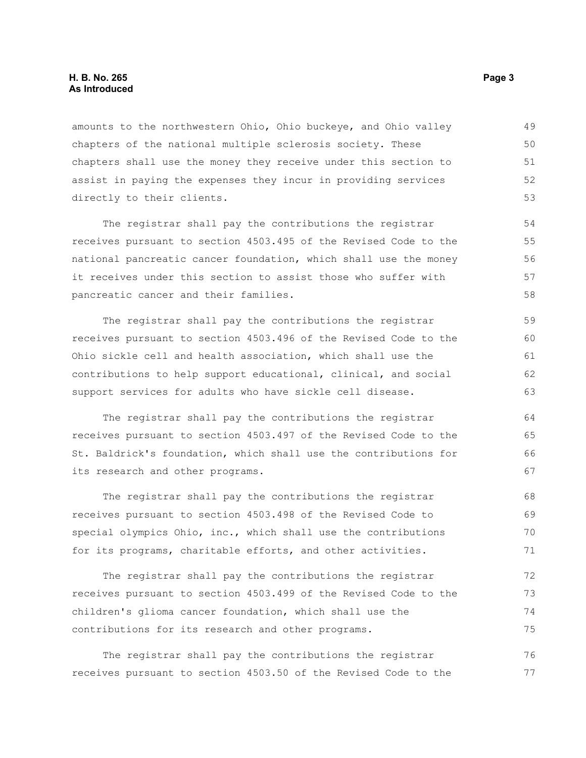#### **H. B. No. 265 Page 3 As Introduced**

amounts to the northwestern Ohio, Ohio buckeye, and Ohio valley chapters of the national multiple sclerosis society. These chapters shall use the money they receive under this section to assist in paying the expenses they incur in providing services directly to their clients. 49 50 51 52 53

The registrar shall pay the contributions the registrar receives pursuant to section 4503.495 of the Revised Code to the national pancreatic cancer foundation, which shall use the money it receives under this section to assist those who suffer with pancreatic cancer and their families.

The registrar shall pay the contributions the registrar receives pursuant to section 4503.496 of the Revised Code to the Ohio sickle cell and health association, which shall use the contributions to help support educational, clinical, and social support services for adults who have sickle cell disease.

The registrar shall pay the contributions the registrar receives pursuant to section 4503.497 of the Revised Code to the St. Baldrick's foundation, which shall use the contributions for its research and other programs.

The registrar shall pay the contributions the registrar receives pursuant to section 4503.498 of the Revised Code to special olympics Ohio, inc., which shall use the contributions for its programs, charitable efforts, and other activities. 68 69 70 71

The registrar shall pay the contributions the registrar receives pursuant to section 4503.499 of the Revised Code to the children's glioma cancer foundation, which shall use the contributions for its research and other programs. 72 73 74 75

The registrar shall pay the contributions the registrar receives pursuant to section 4503.50 of the Revised Code to the 76 77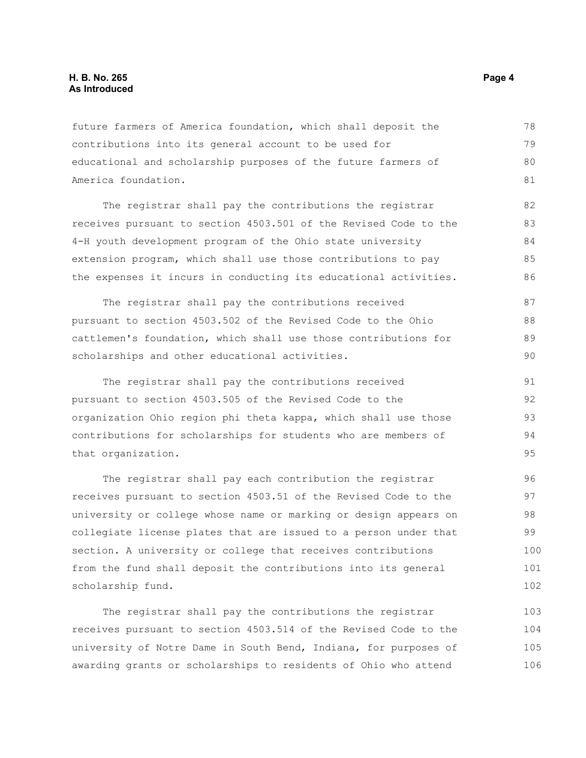#### **H. B. No. 265 Page 4 As Introduced**

future farmers of America foundation, which shall deposit the contributions into its general account to be used for educational and scholarship purposes of the future farmers of America foundation. 78 79 80 81

The registrar shall pay the contributions the registrar receives pursuant to section 4503.501 of the Revised Code to the 4-H youth development program of the Ohio state university extension program, which shall use those contributions to pay the expenses it incurs in conducting its educational activities. 82 83 84 85  $86$ 

The registrar shall pay the contributions received pursuant to section 4503.502 of the Revised Code to the Ohio cattlemen's foundation, which shall use those contributions for scholarships and other educational activities. 87 88 89 90

The registrar shall pay the contributions received pursuant to section 4503.505 of the Revised Code to the organization Ohio region phi theta kappa, which shall use those contributions for scholarships for students who are members of that organization. 91 92 93 94 95

The registrar shall pay each contribution the registrar receives pursuant to section 4503.51 of the Revised Code to the university or college whose name or marking or design appears on collegiate license plates that are issued to a person under that section. A university or college that receives contributions from the fund shall deposit the contributions into its general scholarship fund.

The registrar shall pay the contributions the registrar receives pursuant to section 4503.514 of the Revised Code to the university of Notre Dame in South Bend, Indiana, for purposes of awarding grants or scholarships to residents of Ohio who attend 103 104 105 106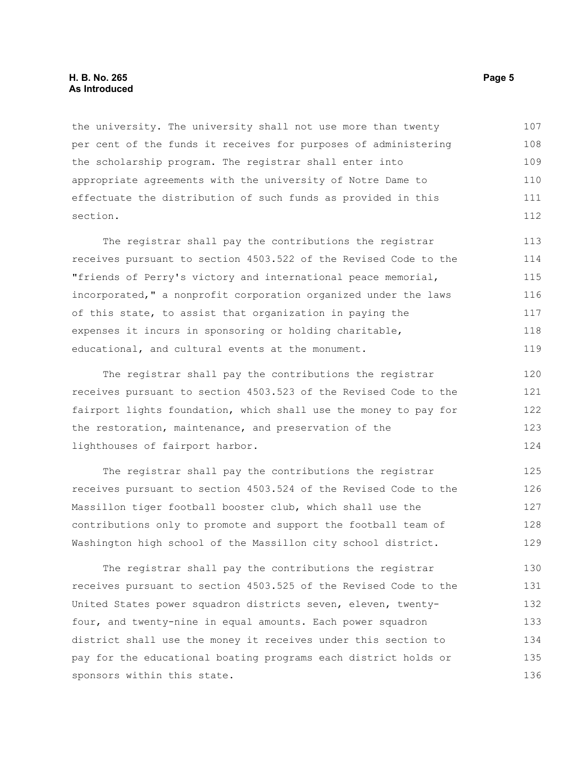#### **H. B. No. 265 Page 5 As Introduced**

the university. The university shall not use more than twenty per cent of the funds it receives for purposes of administering the scholarship program. The registrar shall enter into appropriate agreements with the university of Notre Dame to effectuate the distribution of such funds as provided in this section. 107 108 109 110 111 112

The registrar shall pay the contributions the registrar receives pursuant to section 4503.522 of the Revised Code to the "friends of Perry's victory and international peace memorial, incorporated," a nonprofit corporation organized under the laws of this state, to assist that organization in paying the expenses it incurs in sponsoring or holding charitable, educational, and cultural events at the monument. 113 114 115 116 117 118 119

The registrar shall pay the contributions the registrar receives pursuant to section 4503.523 of the Revised Code to the fairport lights foundation, which shall use the money to pay for the restoration, maintenance, and preservation of the lighthouses of fairport harbor. 120 121 122 123 124

The registrar shall pay the contributions the registrar receives pursuant to section 4503.524 of the Revised Code to the Massillon tiger football booster club, which shall use the contributions only to promote and support the football team of Washington high school of the Massillon city school district. 125 126 127 128 129

The registrar shall pay the contributions the registrar receives pursuant to section 4503.525 of the Revised Code to the United States power squadron districts seven, eleven, twentyfour, and twenty-nine in equal amounts. Each power squadron district shall use the money it receives under this section to pay for the educational boating programs each district holds or sponsors within this state. 130 131 132 133 134 135 136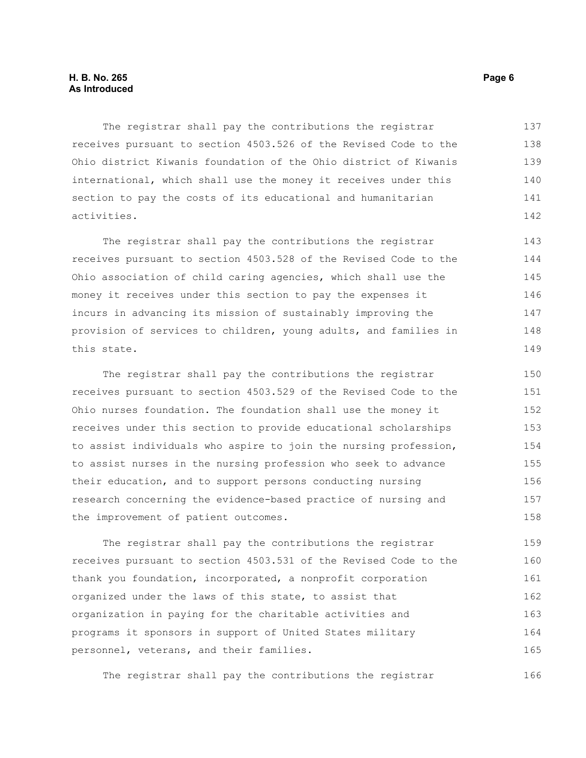The registrar shall pay the contributions the registrar receives pursuant to section 4503.526 of the Revised Code to the Ohio district Kiwanis foundation of the Ohio district of Kiwanis international, which shall use the money it receives under this section to pay the costs of its educational and humanitarian activities. 137 138 139 140 141 142

The registrar shall pay the contributions the registrar receives pursuant to section 4503.528 of the Revised Code to the Ohio association of child caring agencies, which shall use the money it receives under this section to pay the expenses it incurs in advancing its mission of sustainably improving the provision of services to children, young adults, and families in this state. 143 144 145 146 147 148 149

The registrar shall pay the contributions the registrar receives pursuant to section 4503.529 of the Revised Code to the Ohio nurses foundation. The foundation shall use the money it receives under this section to provide educational scholarships to assist individuals who aspire to join the nursing profession, to assist nurses in the nursing profession who seek to advance their education, and to support persons conducting nursing research concerning the evidence-based practice of nursing and the improvement of patient outcomes. 150 151 152 153 154 155 156 157 158

The registrar shall pay the contributions the registrar receives pursuant to section 4503.531 of the Revised Code to the thank you foundation, incorporated, a nonprofit corporation organized under the laws of this state, to assist that organization in paying for the charitable activities and programs it sponsors in support of United States military personnel, veterans, and their families. 159 160 161 162 163 164 165

The registrar shall pay the contributions the registrar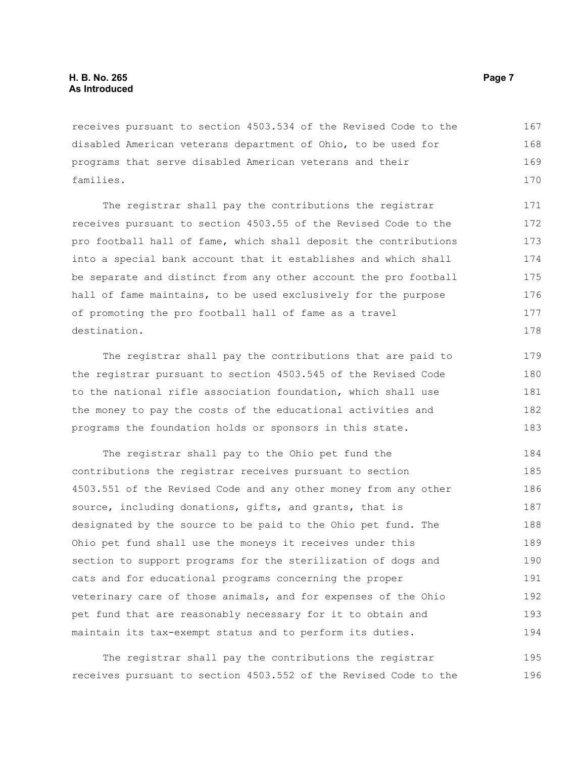receives pursuant to section 4503.534 of the Revised Code to the disabled American veterans department of Ohio, to be used for programs that serve disabled American veterans and their families. 167 168 169 170

The registrar shall pay the contributions the registrar receives pursuant to section 4503.55 of the Revised Code to the pro football hall of fame, which shall deposit the contributions into a special bank account that it establishes and which shall be separate and distinct from any other account the pro football hall of fame maintains, to be used exclusively for the purpose of promoting the pro football hall of fame as a travel destination.

The registrar shall pay the contributions that are paid to the registrar pursuant to section 4503.545 of the Revised Code to the national rifle association foundation, which shall use the money to pay the costs of the educational activities and programs the foundation holds or sponsors in this state.

The registrar shall pay to the Ohio pet fund the contributions the registrar receives pursuant to section 4503.551 of the Revised Code and any other money from any other source, including donations, gifts, and grants, that is designated by the source to be paid to the Ohio pet fund. The Ohio pet fund shall use the moneys it receives under this section to support programs for the sterilization of dogs and cats and for educational programs concerning the proper veterinary care of those animals, and for expenses of the Ohio pet fund that are reasonably necessary for it to obtain and maintain its tax-exempt status and to perform its duties. 184 185 186 187 188 189 190 191 192 193 194

The registrar shall pay the contributions the registrar receives pursuant to section 4503.552 of the Revised Code to the 195 196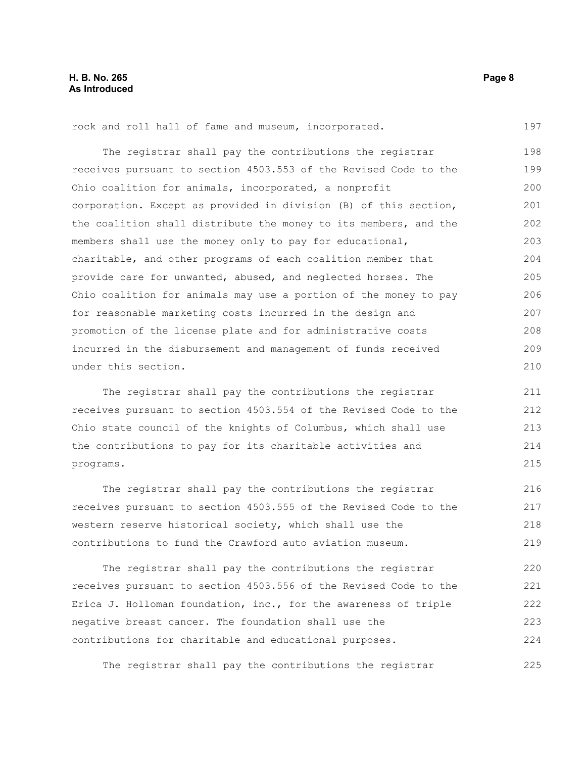rock and roll hall of fame and museum, incorporated.

The registrar shall pay the contributions the registrar receives pursuant to section 4503.553 of the Revised Code to the Ohio coalition for animals, incorporated, a nonprofit corporation. Except as provided in division (B) of this section, the coalition shall distribute the money to its members, and the members shall use the money only to pay for educational, charitable, and other programs of each coalition member that provide care for unwanted, abused, and neglected horses. The Ohio coalition for animals may use a portion of the money to pay for reasonable marketing costs incurred in the design and promotion of the license plate and for administrative costs incurred in the disbursement and management of funds received under this section. 198 199 200 201 202 203 204 205 206 207 208 209 210

The registrar shall pay the contributions the registrar receives pursuant to section 4503.554 of the Revised Code to the Ohio state council of the knights of Columbus, which shall use the contributions to pay for its charitable activities and programs.

The registrar shall pay the contributions the registrar receives pursuant to section 4503.555 of the Revised Code to the western reserve historical society, which shall use the contributions to fund the Crawford auto aviation museum. 216 217 218 219

The registrar shall pay the contributions the registrar receives pursuant to section 4503.556 of the Revised Code to the Erica J. Holloman foundation, inc., for the awareness of triple negative breast cancer. The foundation shall use the contributions for charitable and educational purposes. 220 221 222 223 224

The registrar shall pay the contributions the registrar

197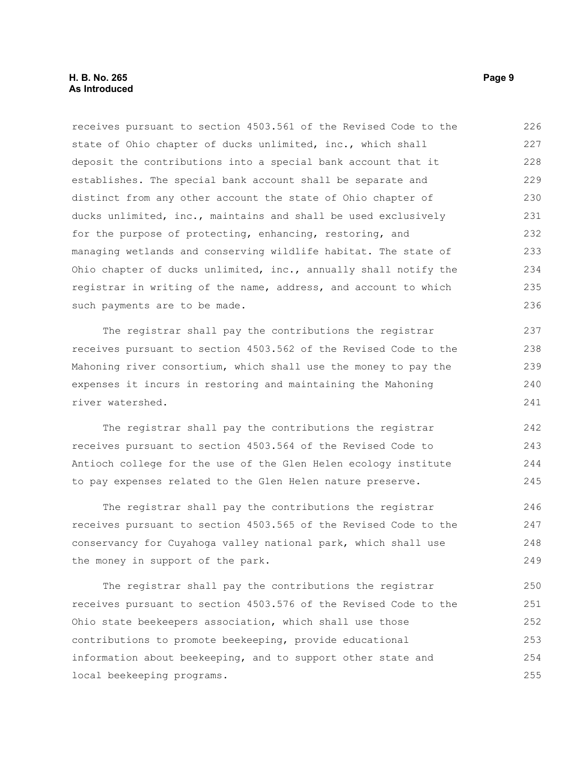#### **H. B. No. 265 Page 9 As Introduced**

receives pursuant to section 4503.561 of the Revised Code to the state of Ohio chapter of ducks unlimited, inc., which shall deposit the contributions into a special bank account that it establishes. The special bank account shall be separate and distinct from any other account the state of Ohio chapter of ducks unlimited, inc., maintains and shall be used exclusively for the purpose of protecting, enhancing, restoring, and managing wetlands and conserving wildlife habitat. The state of Ohio chapter of ducks unlimited, inc., annually shall notify the registrar in writing of the name, address, and account to which such payments are to be made. 226 227 228 229 230 231 232 233 234 235 236

The registrar shall pay the contributions the registrar receives pursuant to section 4503.562 of the Revised Code to the Mahoning river consortium, which shall use the money to pay the expenses it incurs in restoring and maintaining the Mahoning river watershed.

The registrar shall pay the contributions the registrar receives pursuant to section 4503.564 of the Revised Code to Antioch college for the use of the Glen Helen ecology institute to pay expenses related to the Glen Helen nature preserve. 242 243 244 245

The registrar shall pay the contributions the registrar receives pursuant to section 4503.565 of the Revised Code to the conservancy for Cuyahoga valley national park, which shall use the money in support of the park. 246 247 248 249

The registrar shall pay the contributions the registrar receives pursuant to section 4503.576 of the Revised Code to the Ohio state beekeepers association, which shall use those contributions to promote beekeeping, provide educational information about beekeeping, and to support other state and local beekeeping programs. 250 251 252 253 254 255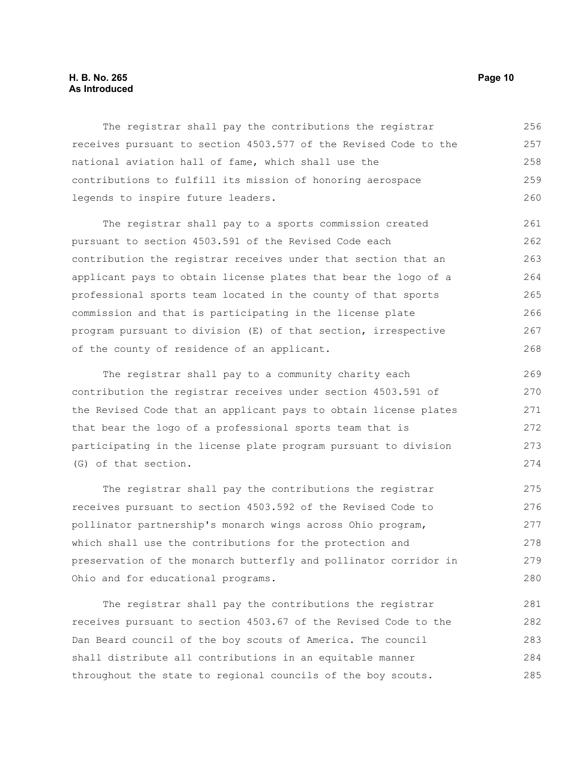#### **H. B. No. 265 Page 10 As Introduced**

The registrar shall pay the contributions the registrar receives pursuant to section 4503.577 of the Revised Code to the national aviation hall of fame, which shall use the contributions to fulfill its mission of honoring aerospace legends to inspire future leaders. 256 257 258 259 260

The registrar shall pay to a sports commission created pursuant to section 4503.591 of the Revised Code each contribution the registrar receives under that section that an applicant pays to obtain license plates that bear the logo of a professional sports team located in the county of that sports commission and that is participating in the license plate program pursuant to division (E) of that section, irrespective of the county of residence of an applicant. 261 262 263 264 265 266 267 268

The registrar shall pay to a community charity each contribution the registrar receives under section 4503.591 of the Revised Code that an applicant pays to obtain license plates that bear the logo of a professional sports team that is participating in the license plate program pursuant to division (G) of that section.

The registrar shall pay the contributions the registrar receives pursuant to section 4503.592 of the Revised Code to pollinator partnership's monarch wings across Ohio program, which shall use the contributions for the protection and preservation of the monarch butterfly and pollinator corridor in Ohio and for educational programs. 275 276 277 278 279 280

The registrar shall pay the contributions the registrar receives pursuant to section 4503.67 of the Revised Code to the Dan Beard council of the boy scouts of America. The council shall distribute all contributions in an equitable manner throughout the state to regional councils of the boy scouts. 281 282 283 284 285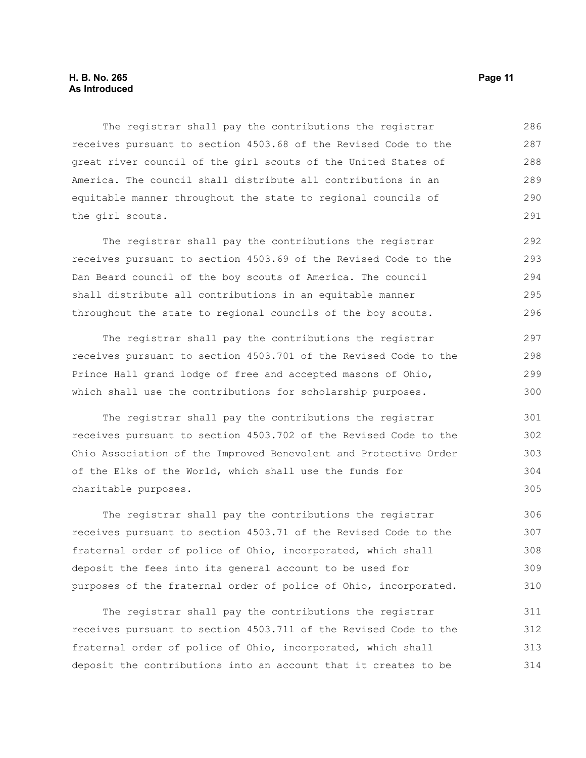The registrar shall pay the contributions the registrar receives pursuant to section 4503.68 of the Revised Code to the great river council of the girl scouts of the United States of America. The council shall distribute all contributions in an equitable manner throughout the state to regional councils of the girl scouts. 286 287 288 289 290 291

The registrar shall pay the contributions the registrar receives pursuant to section 4503.69 of the Revised Code to the Dan Beard council of the boy scouts of America. The council shall distribute all contributions in an equitable manner throughout the state to regional councils of the boy scouts. 292 293 294 295 296

The registrar shall pay the contributions the registrar receives pursuant to section 4503.701 of the Revised Code to the Prince Hall grand lodge of free and accepted masons of Ohio, which shall use the contributions for scholarship purposes.

The registrar shall pay the contributions the registrar receives pursuant to section 4503.702 of the Revised Code to the Ohio Association of the Improved Benevolent and Protective Order of the Elks of the World, which shall use the funds for charitable purposes.

The registrar shall pay the contributions the registrar receives pursuant to section 4503.71 of the Revised Code to the fraternal order of police of Ohio, incorporated, which shall deposit the fees into its general account to be used for purposes of the fraternal order of police of Ohio, incorporated. 306 307 308 309 310

The registrar shall pay the contributions the registrar receives pursuant to section 4503.711 of the Revised Code to the fraternal order of police of Ohio, incorporated, which shall deposit the contributions into an account that it creates to be 311 312 313 314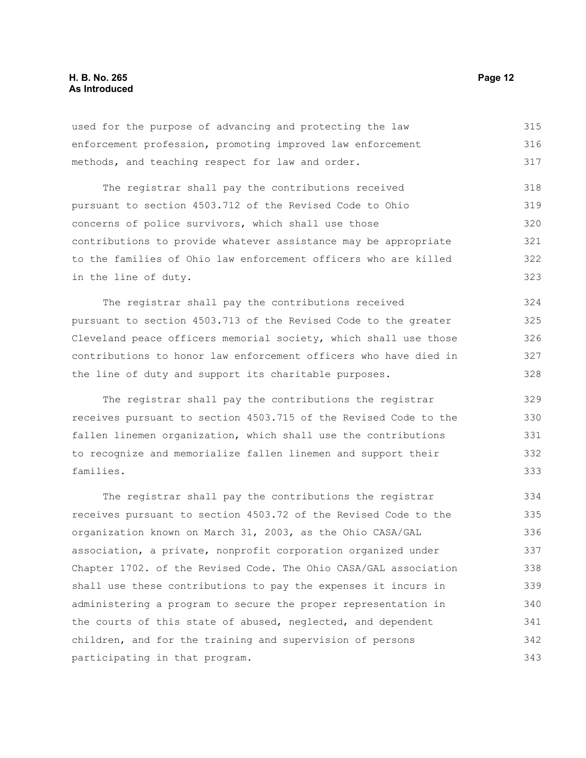used for the purpose of advancing and protecting the law enforcement profession, promoting improved law enforcement methods, and teaching respect for law and order. 315 316 317

The registrar shall pay the contributions received pursuant to section 4503.712 of the Revised Code to Ohio concerns of police survivors, which shall use those contributions to provide whatever assistance may be appropriate to the families of Ohio law enforcement officers who are killed in the line of duty. 318 319 320 321 322 323

The registrar shall pay the contributions received pursuant to section 4503.713 of the Revised Code to the greater Cleveland peace officers memorial society, which shall use those contributions to honor law enforcement officers who have died in the line of duty and support its charitable purposes. 324 325 326 327 328

The registrar shall pay the contributions the registrar receives pursuant to section 4503.715 of the Revised Code to the fallen linemen organization, which shall use the contributions to recognize and memorialize fallen linemen and support their families. 329 330 331 332 333

The registrar shall pay the contributions the registrar receives pursuant to section 4503.72 of the Revised Code to the organization known on March 31, 2003, as the Ohio CASA/GAL association, a private, nonprofit corporation organized under Chapter 1702. of the Revised Code. The Ohio CASA/GAL association shall use these contributions to pay the expenses it incurs in administering a program to secure the proper representation in the courts of this state of abused, neglected, and dependent children, and for the training and supervision of persons participating in that program. 334 335 336 337 338 339 340 341 342 343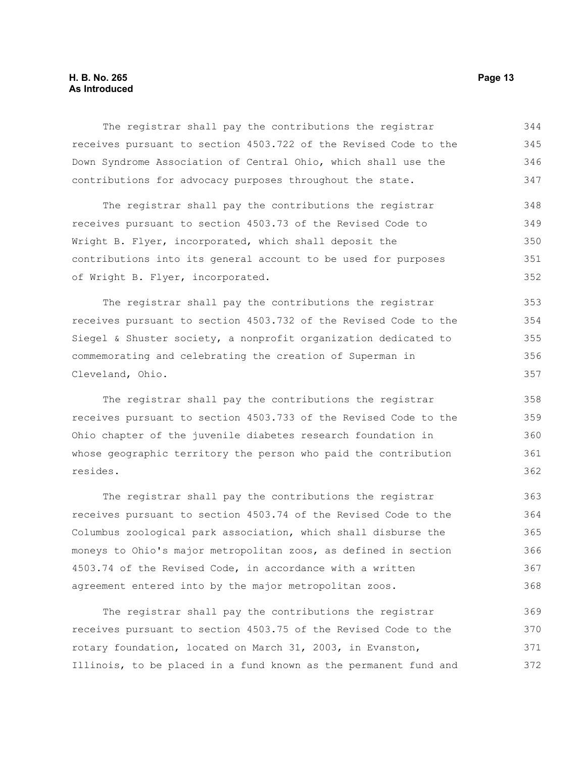#### **H. B. No. 265 Page 13 As Introduced**

The registrar shall pay the contributions the registrar receives pursuant to section 4503.722 of the Revised Code to the Down Syndrome Association of Central Ohio, which shall use the contributions for advocacy purposes throughout the state. 344 345 346 347

The registrar shall pay the contributions the registrar receives pursuant to section 4503.73 of the Revised Code to Wright B. Flyer, incorporated, which shall deposit the contributions into its general account to be used for purposes of Wright B. Flyer, incorporated. 348 349 350 351 352

The registrar shall pay the contributions the registrar receives pursuant to section 4503.732 of the Revised Code to the Siegel & Shuster society, a nonprofit organization dedicated to commemorating and celebrating the creation of Superman in Cleveland, Ohio. 353 354 355 356 357

The registrar shall pay the contributions the registrar receives pursuant to section 4503.733 of the Revised Code to the Ohio chapter of the juvenile diabetes research foundation in whose geographic territory the person who paid the contribution resides.

The registrar shall pay the contributions the registrar receives pursuant to section 4503.74 of the Revised Code to the Columbus zoological park association, which shall disburse the moneys to Ohio's major metropolitan zoos, as defined in section 4503.74 of the Revised Code, in accordance with a written agreement entered into by the major metropolitan zoos. 363 364 365 366 367 368

The registrar shall pay the contributions the registrar receives pursuant to section 4503.75 of the Revised Code to the rotary foundation, located on March 31, 2003, in Evanston, Illinois, to be placed in a fund known as the permanent fund and 369 370 371 372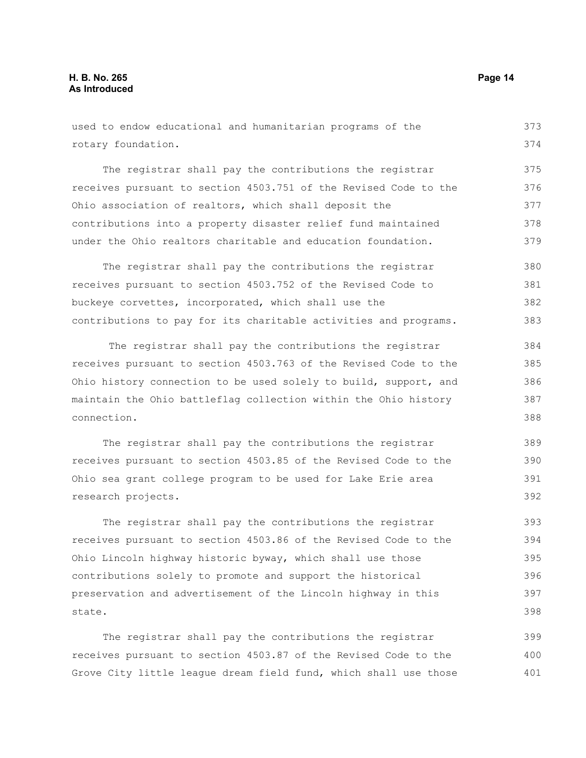400 401

| used to endow educational and humanitarian programs of the       | 373 |
|------------------------------------------------------------------|-----|
| rotary foundation.                                               |     |
|                                                                  |     |
| The registrar shall pay the contributions the registrar          | 375 |
| receives pursuant to section 4503.751 of the Revised Code to the | 376 |
| Ohio association of realtors, which shall deposit the            | 377 |
| contributions into a property disaster relief fund maintained    | 378 |
| under the Ohio realtors charitable and education foundation.     | 379 |
| The registrar shall pay the contributions the registrar          | 380 |
| receives pursuant to section 4503.752 of the Revised Code to     | 381 |
| buckeye corvettes, incorporated, which shall use the             | 382 |
| contributions to pay for its charitable activities and programs. | 383 |
| The registrar shall pay the contributions the registrar          | 384 |
| receives pursuant to section 4503.763 of the Revised Code to the | 385 |
| Ohio history connection to be used solely to build, support, and | 386 |
| maintain the Ohio battleflag collection within the Ohio history  | 387 |
| connection.                                                      |     |
| The registrar shall pay the contributions the registrar          | 389 |
| receives pursuant to section 4503.85 of the Revised Code to the  | 390 |
| Ohio sea grant college program to be used for Lake Erie area     | 391 |
| research projects.                                               | 392 |
| The registrar shall pay the contributions the registrar          | 393 |
| receives pursuant to section 4503.86 of the Revised Code to the  | 394 |
| Ohio Lincoln highway historic byway, which shall use those       | 395 |
| contributions solely to promote and support the historical       | 396 |
| preservation and advertisement of the Lincoln highway in this    | 397 |
| state.                                                           |     |
| The registrar shall pay the contributions the registrar          | 399 |
| receives pursuant to section 4503.87 of the Revised Code to the  | 400 |

Grove City little league dream field fund, which shall use those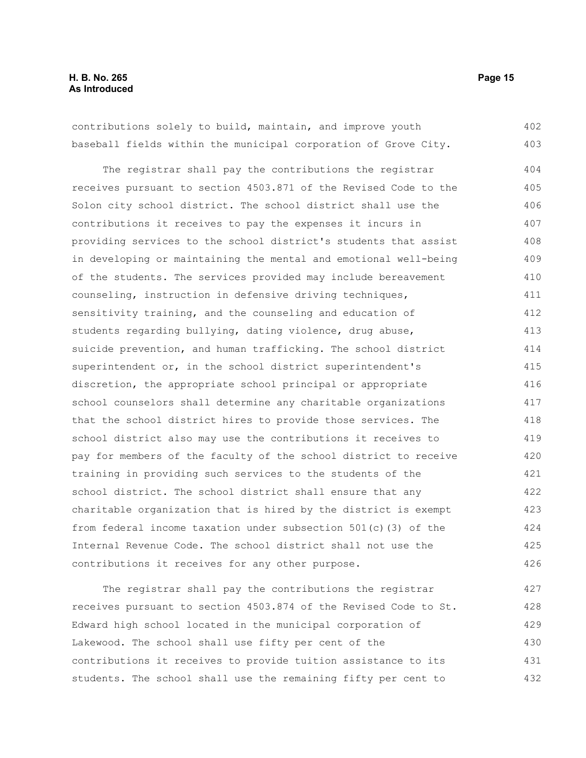contributions solely to build, maintain, and improve youth baseball fields within the municipal corporation of Grove City. 402 403

The registrar shall pay the contributions the registrar receives pursuant to section 4503.871 of the Revised Code to the Solon city school district. The school district shall use the contributions it receives to pay the expenses it incurs in providing services to the school district's students that assist in developing or maintaining the mental and emotional well-being of the students. The services provided may include bereavement counseling, instruction in defensive driving techniques, sensitivity training, and the counseling and education of students regarding bullying, dating violence, drug abuse, suicide prevention, and human trafficking. The school district superintendent or, in the school district superintendent's discretion, the appropriate school principal or appropriate school counselors shall determine any charitable organizations that the school district hires to provide those services. The school district also may use the contributions it receives to pay for members of the faculty of the school district to receive training in providing such services to the students of the school district. The school district shall ensure that any charitable organization that is hired by the district is exempt from federal income taxation under subsection 501(c)(3) of the Internal Revenue Code. The school district shall not use the contributions it receives for any other purpose. 404 405 406 407 408 409 410 411 412 413 414 415 416 417 418 419 420 421 422 423 424 425 426

The registrar shall pay the contributions the registrar receives pursuant to section 4503.874 of the Revised Code to St. Edward high school located in the municipal corporation of Lakewood. The school shall use fifty per cent of the contributions it receives to provide tuition assistance to its students. The school shall use the remaining fifty per cent to 427 428 429 430 431 432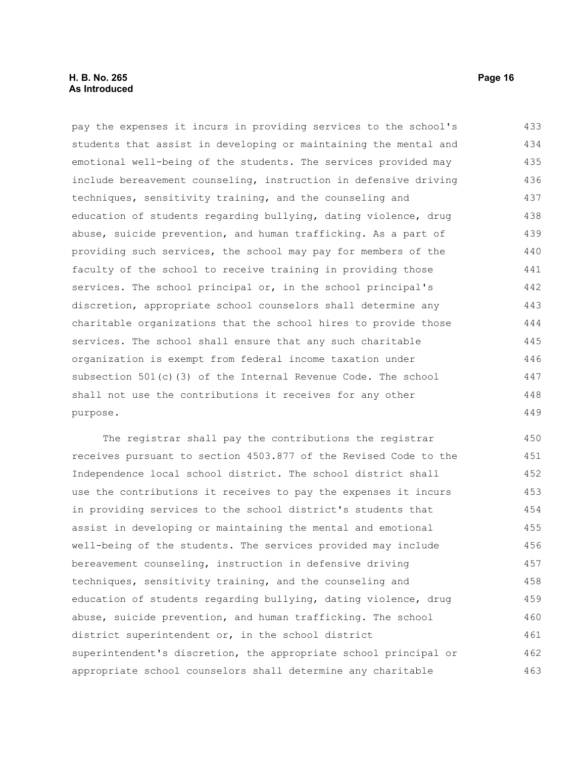#### **H. B. No. 265 Page 16 As Introduced**

pay the expenses it incurs in providing services to the school's students that assist in developing or maintaining the mental and emotional well-being of the students. The services provided may include bereavement counseling, instruction in defensive driving techniques, sensitivity training, and the counseling and education of students regarding bullying, dating violence, drug abuse, suicide prevention, and human trafficking. As a part of providing such services, the school may pay for members of the faculty of the school to receive training in providing those services. The school principal or, in the school principal's discretion, appropriate school counselors shall determine any charitable organizations that the school hires to provide those services. The school shall ensure that any such charitable organization is exempt from federal income taxation under subsection 501(c)(3) of the Internal Revenue Code. The school shall not use the contributions it receives for any other purpose. 433 434 435 436 437 438 439 440 441 442 443 444 445 446 447 448 449

The registrar shall pay the contributions the registrar receives pursuant to section 4503.877 of the Revised Code to the Independence local school district. The school district shall use the contributions it receives to pay the expenses it incurs in providing services to the school district's students that assist in developing or maintaining the mental and emotional well-being of the students. The services provided may include bereavement counseling, instruction in defensive driving techniques, sensitivity training, and the counseling and education of students regarding bullying, dating violence, drug abuse, suicide prevention, and human trafficking. The school district superintendent or, in the school district superintendent's discretion, the appropriate school principal or appropriate school counselors shall determine any charitable 450 451 452 453 454 455 456 457 458 459 460 461 462 463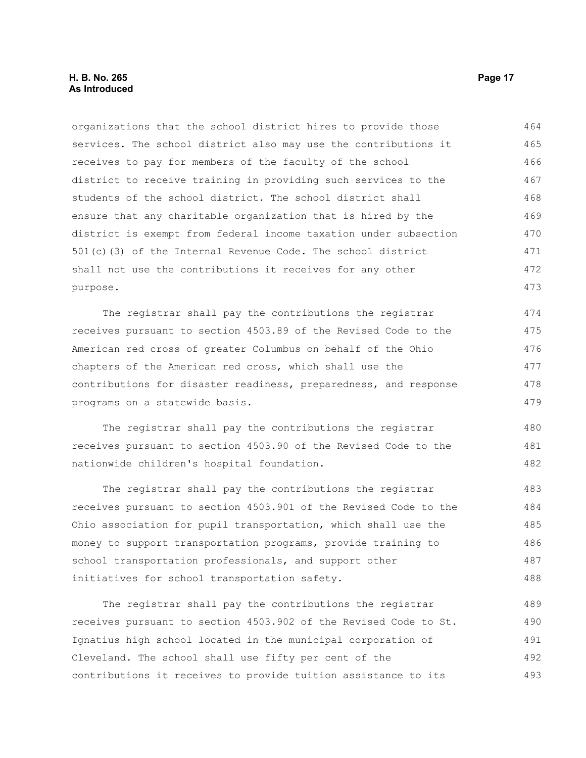#### **H. B. No. 265 Page 17 As Introduced**

organizations that the school district hires to provide those services. The school district also may use the contributions it receives to pay for members of the faculty of the school district to receive training in providing such services to the students of the school district. The school district shall ensure that any charitable organization that is hired by the district is exempt from federal income taxation under subsection 501(c)(3) of the Internal Revenue Code. The school district shall not use the contributions it receives for any other purpose. 464 465 466 467 468 469 470 471 472 473

The registrar shall pay the contributions the registrar receives pursuant to section 4503.89 of the Revised Code to the American red cross of greater Columbus on behalf of the Ohio chapters of the American red cross, which shall use the contributions for disaster readiness, preparedness, and response programs on a statewide basis. 474 475 476 477 478 479

The registrar shall pay the contributions the registrar receives pursuant to section 4503.90 of the Revised Code to the nationwide children's hospital foundation. 480 481 482

The registrar shall pay the contributions the registrar receives pursuant to section 4503.901 of the Revised Code to the Ohio association for pupil transportation, which shall use the money to support transportation programs, provide training to school transportation professionals, and support other initiatives for school transportation safety. 483 484 485 486 487 488

The registrar shall pay the contributions the registrar receives pursuant to section 4503.902 of the Revised Code to St. Ignatius high school located in the municipal corporation of Cleveland. The school shall use fifty per cent of the contributions it receives to provide tuition assistance to its 489 490 491 492 493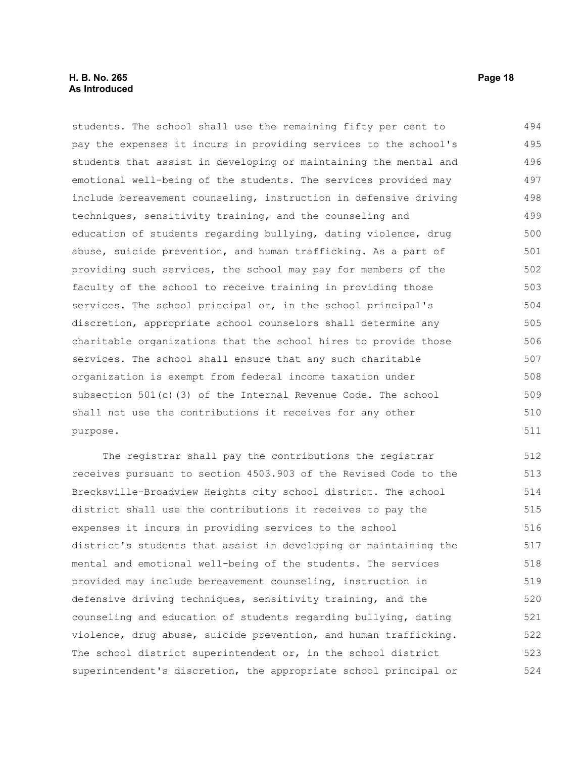students. The school shall use the remaining fifty per cent to pay the expenses it incurs in providing services to the school's students that assist in developing or maintaining the mental and emotional well-being of the students. The services provided may include bereavement counseling, instruction in defensive driving techniques, sensitivity training, and the counseling and education of students regarding bullying, dating violence, drug abuse, suicide prevention, and human trafficking. As a part of providing such services, the school may pay for members of the faculty of the school to receive training in providing those services. The school principal or, in the school principal's discretion, appropriate school counselors shall determine any charitable organizations that the school hires to provide those services. The school shall ensure that any such charitable organization is exempt from federal income taxation under subsection 501(c)(3) of the Internal Revenue Code. The school shall not use the contributions it receives for any other purpose. 494 495 496 497 498 499 500 501 502 503 504 505 506 507 508 509 510 511

The registrar shall pay the contributions the registrar receives pursuant to section 4503.903 of the Revised Code to the Brecksville-Broadview Heights city school district. The school district shall use the contributions it receives to pay the expenses it incurs in providing services to the school district's students that assist in developing or maintaining the mental and emotional well-being of the students. The services provided may include bereavement counseling, instruction in defensive driving techniques, sensitivity training, and the counseling and education of students regarding bullying, dating violence, drug abuse, suicide prevention, and human trafficking. The school district superintendent or, in the school district superintendent's discretion, the appropriate school principal or 512 513 514 515 516 517 518 519 520 521 522 523 524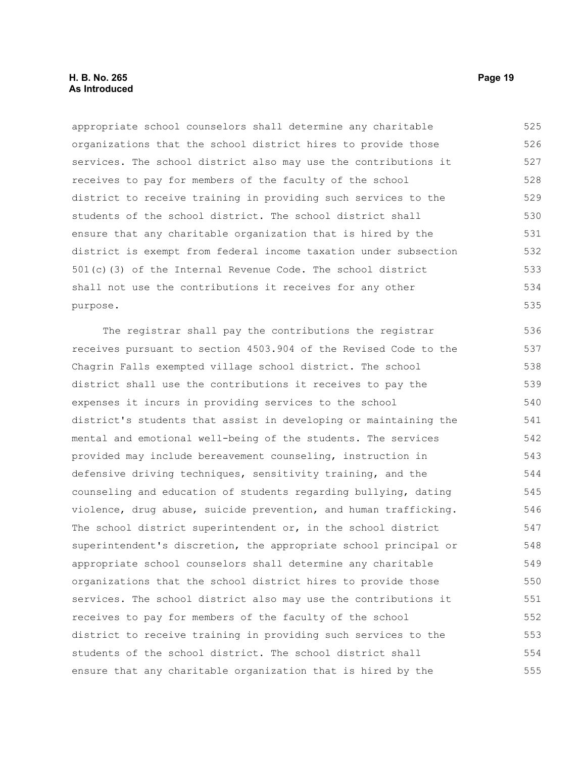#### **H. B. No. 265 Page 19 As Introduced**

appropriate school counselors shall determine any charitable organizations that the school district hires to provide those services. The school district also may use the contributions it receives to pay for members of the faculty of the school district to receive training in providing such services to the students of the school district. The school district shall ensure that any charitable organization that is hired by the district is exempt from federal income taxation under subsection 501(c)(3) of the Internal Revenue Code. The school district shall not use the contributions it receives for any other purpose. 525 526 527 528 529 530 531 532 533 534 535

The registrar shall pay the contributions the registrar receives pursuant to section 4503.904 of the Revised Code to the Chagrin Falls exempted village school district. The school district shall use the contributions it receives to pay the expenses it incurs in providing services to the school district's students that assist in developing or maintaining the mental and emotional well-being of the students. The services provided may include bereavement counseling, instruction in defensive driving techniques, sensitivity training, and the counseling and education of students regarding bullying, dating violence, drug abuse, suicide prevention, and human trafficking. The school district superintendent or, in the school district superintendent's discretion, the appropriate school principal or appropriate school counselors shall determine any charitable organizations that the school district hires to provide those services. The school district also may use the contributions it receives to pay for members of the faculty of the school district to receive training in providing such services to the students of the school district. The school district shall ensure that any charitable organization that is hired by the 536 537 538 539 540 541 542 543 544 545 546 547 548 549 550 551 552 553 554 555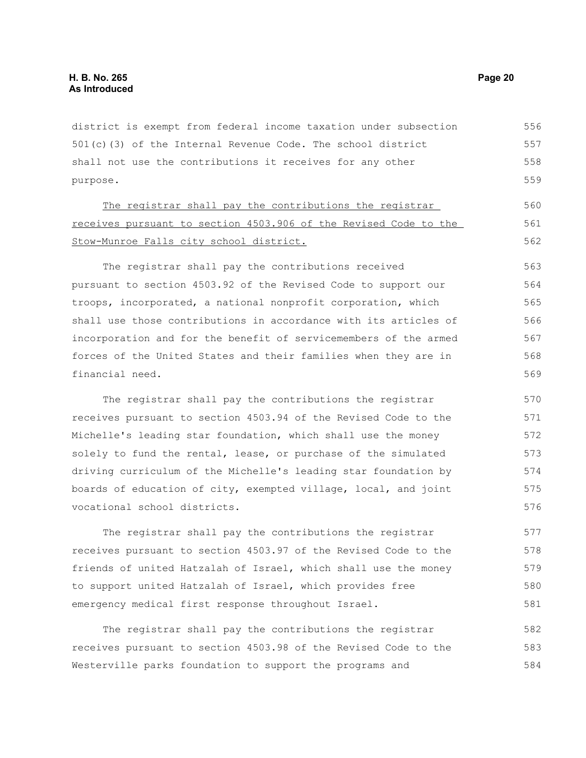district is exempt from federal income taxation under subsection 501(c)(3) of the Internal Revenue Code. The school district shall not use the contributions it receives for any other purpose. 556 557 558 559

The registrar shall pay the contributions the registrar receives pursuant to section 4503.906 of the Revised Code to the Stow-Munroe Falls city school district.

The registrar shall pay the contributions received pursuant to section 4503.92 of the Revised Code to support our troops, incorporated, a national nonprofit corporation, which shall use those contributions in accordance with its articles of incorporation and for the benefit of servicemembers of the armed forces of the United States and their families when they are in financial need. 563 564 565 566 567 568 569

The registrar shall pay the contributions the registrar receives pursuant to section 4503.94 of the Revised Code to the Michelle's leading star foundation, which shall use the money solely to fund the rental, lease, or purchase of the simulated driving curriculum of the Michelle's leading star foundation by boards of education of city, exempted village, local, and joint vocational school districts. 570 571 572 573 574 575 576

The registrar shall pay the contributions the registrar receives pursuant to section 4503.97 of the Revised Code to the friends of united Hatzalah of Israel, which shall use the money to support united Hatzalah of Israel, which provides free emergency medical first response throughout Israel. 577 578 579 581

The registrar shall pay the contributions the registrar receives pursuant to section 4503.98 of the Revised Code to the Westerville parks foundation to support the programs and 582 583 584

560 561 562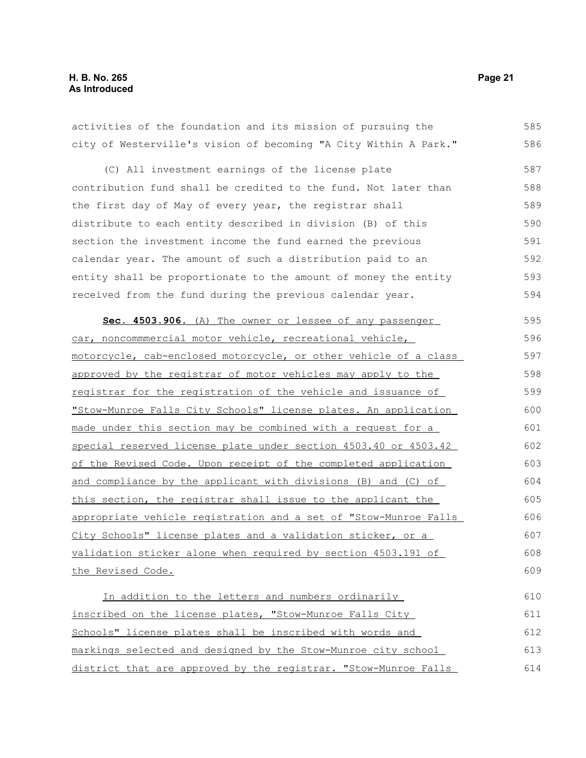activities of the foundation and its mission of pursuing the city of Westerville's vision of becoming "A City Within A Park." (C) All investment earnings of the license plate contribution fund shall be credited to the fund. Not later than the first day of May of every year, the registrar shall distribute to each entity described in division (B) of this section the investment income the fund earned the previous calendar year. The amount of such a distribution paid to an entity shall be proportionate to the amount of money the entity received from the fund during the previous calendar year. **Sec. 4503.906.** (A) The owner or lessee of any passenger car, noncommmercial motor vehicle, recreational vehicle, motorcycle, cab-enclosed motorcycle, or other vehicle of a class approved by the registrar of motor vehicles may apply to the registrar for the registration of the vehicle and issuance of "Stow-Munroe Falls City Schools" license plates. An application made under this section may be combined with a request for a special reserved license plate under section 4503.40 or 4503.42 of the Revised Code. Upon receipt of the completed application and compliance by the applicant with divisions (B) and (C) of this section, the registrar shall issue to the applicant the appropriate vehicle registration and a set of "Stow-Munroe Falls City Schools" license plates and a validation sticker, or a validation sticker alone when required by section 4503.191 of the Revised Code. In addition to the letters and numbers ordinarily inscribed on the license plates, "Stow-Munroe Falls City Schools" license plates shall be inscribed with words and 585 586 587 588 589 590 591 592 593 594 595 596 597 598 599 600 601 602 603 604 605 606 607 608 609 610 611 612

markings selected and designed by the Stow-Munroe city school district that are approved by the registrar. "Stow-Munroe Falls 613 614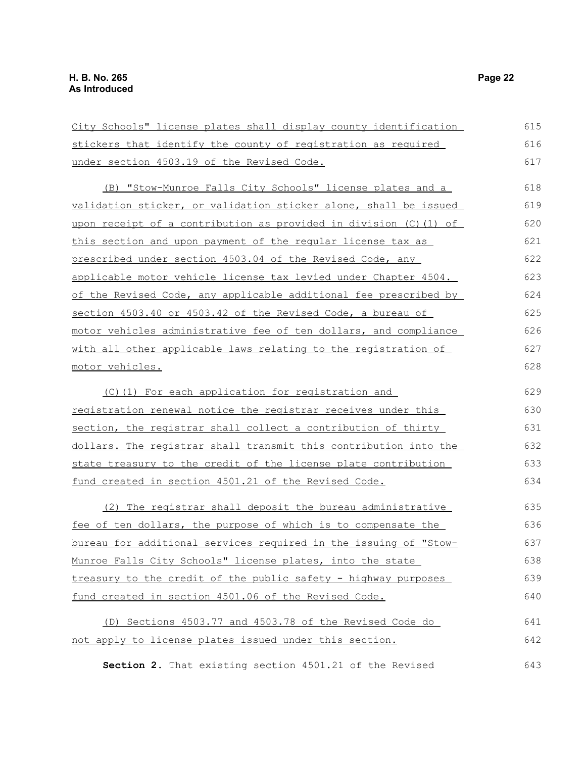| City Schools" license plates shall display county identification     | 615 |
|----------------------------------------------------------------------|-----|
| stickers that identify the county of registration as required        | 616 |
| under section 4503.19 of the Revised Code.                           | 617 |
| (B) "Stow-Munroe Falls City Schools" license plates and a            | 618 |
| validation sticker, or validation sticker alone, shall be issued     | 619 |
| upon receipt of a contribution as provided in division (C) (1) of    | 620 |
| this section and upon payment of the regular license tax as          | 621 |
| prescribed under section 4503.04 of the Revised Code, any            | 622 |
| applicable motor vehicle license tax levied under Chapter 4504.      | 623 |
| of the Revised Code, any applicable additional fee prescribed by     | 624 |
| section 4503.40 or 4503.42 of the Revised Code, a bureau of          | 625 |
| motor vehicles administrative fee of ten dollars, and compliance     | 626 |
| with all other applicable laws relating to the registration of       | 627 |
| motor vehicles.                                                      | 628 |
| (C) (1) For each application for registration and                    | 629 |
| registration renewal notice the registrar receives under this        | 630 |
| section, the registrar shall collect a contribution of thirty        | 631 |
| dollars. The registrar shall transmit this contribution into the     | 632 |
| state treasury to the credit of the license plate contribution       | 633 |
| fund created in section 4501.21 of the Revised Code.                 | 634 |
| (2) The registrar shall deposit the bureau administrative            | 635 |
| <u>fee of ten dollars, the purpose of which is to compensate the</u> | 636 |
| bureau for additional services required in the issuing of "Stow-     | 637 |
| Munroe Falls City Schools" license plates, into the state            | 638 |
| treasury to the credit of the public safety - highway purposes       | 639 |
| fund created in section 4501.06 of the Revised Code.                 | 640 |
| (D) Sections 4503.77 and 4503.78 of the Revised Code do              | 641 |
| not apply to license plates issued under this section.               | 642 |
| Section 2. That existing section 4501.21 of the Revised              | 643 |